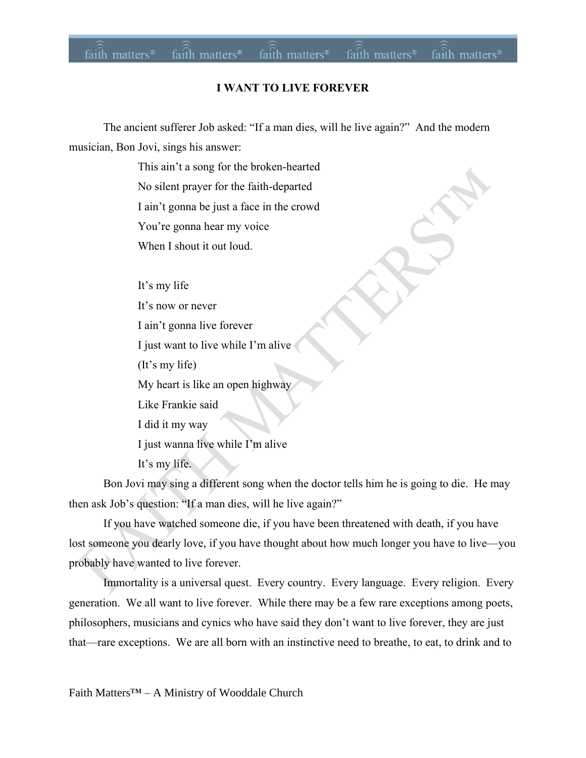### **I WANT TO LIVE FOREVER**

The ancient sufferer Job asked: "If a man dies, will he live again?" And the modern musician, Bon Jovi, sings his answer:

> This ain't a song for the broken-hearted No silent prayer for the faith-departed I ain't gonna be just a face in the crowd You're gonna hear my voice When I shout it out loud.

It's my life It's now or never I ain't gonna live forever I just want to live while I'm alive (It's my life) My heart is like an open highway Like Frankie said I did it my way I just wanna live while I'm alive It's my life.

Bon Jovi may sing a different song when the doctor tells him he is going to die. He may then ask Job's question: "If a man dies, will he live again?"

If you have watched someone die, if you have been threatened with death, if you have lost someone you dearly love, if you have thought about how much longer you have to live—you probably have wanted to live forever.

Immortality is a universal quest. Every country. Every language. Every religion. Every generation. We all want to live forever. While there may be a few rare exceptions among poets, philosophers, musicians and cynics who have said they don't want to live forever, they are just that—rare exceptions. We are all born with an instinctive need to breathe, to eat, to drink and to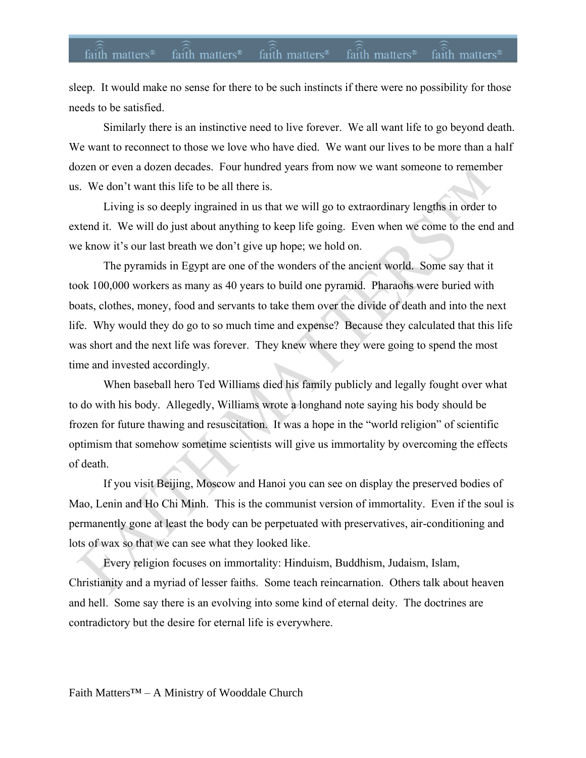#### faith matters<sup>®</sup> faith matters<sup>®</sup> faith matters<sup>®</sup> faith matters<sup>®</sup> faith matters<sup>®</sup>

sleep. It would make no sense for there to be such instincts if there were no possibility for those needs to be satisfied.

Similarly there is an instinctive need to live forever. We all want life to go beyond death. We want to reconnect to those we love who have died. We want our lives to be more than a half dozen or even a dozen decades. Four hundred years from now we want someone to remember us. We don't want this life to be all there is.

Living is so deeply ingrained in us that we will go to extraordinary lengths in order to extend it. We will do just about anything to keep life going. Even when we come to the end and we know it's our last breath we don't give up hope; we hold on.

The pyramids in Egypt are one of the wonders of the ancient world. Some say that it took 100,000 workers as many as 40 years to build one pyramid. Pharaohs were buried with boats, clothes, money, food and servants to take them over the divide of death and into the next life. Why would they do go to so much time and expense? Because they calculated that this life was short and the next life was forever. They knew where they were going to spend the most time and invested accordingly.

When baseball hero Ted Williams died his family publicly and legally fought over what to do with his body. Allegedly, Williams wrote a longhand note saying his body should be frozen for future thawing and resuscitation. It was a hope in the "world religion" of scientific optimism that somehow sometime scientists will give us immortality by overcoming the effects of death.

If you visit Beijing, Moscow and Hanoi you can see on display the preserved bodies of Mao, Lenin and Ho Chi Minh. This is the communist version of immortality. Even if the soul is permanently gone at least the body can be perpetuated with preservatives, air-conditioning and lots of wax so that we can see what they looked like.

Every religion focuses on immortality: Hinduism, Buddhism, Judaism, Islam, Christianity and a myriad of lesser faiths. Some teach reincarnation. Others talk about heaven and hell. Some say there is an evolving into some kind of eternal deity. The doctrines are contradictory but the desire for eternal life is everywhere.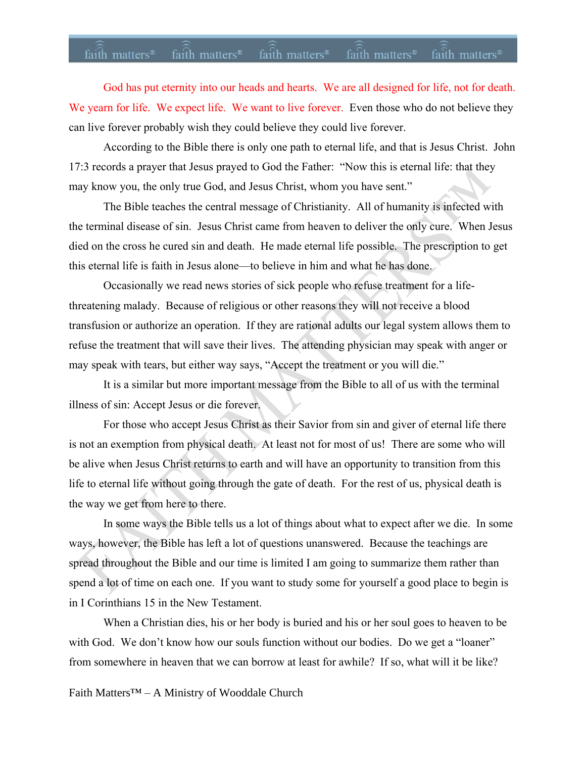## faith matters<sup>®</sup> faith matters<sup>®</sup> faith matters<sup>®</sup> faith matters<sup>®</sup> faith matters<sup>®</sup>

God has put eternity into our heads and hearts. We are all designed for life, not for death. We yearn for life. We expect life. We want to live forever. Even those who do not believe they can live forever probably wish they could believe they could live forever.

According to the Bible there is only one path to eternal life, and that is Jesus Christ. John 17:3 records a prayer that Jesus prayed to God the Father: "Now this is eternal life: that they may know you, the only true God, and Jesus Christ, whom you have sent."

The Bible teaches the central message of Christianity. All of humanity is infected with the terminal disease of sin. Jesus Christ came from heaven to deliver the only cure. When Jesus died on the cross he cured sin and death. He made eternal life possible. The prescription to get this eternal life is faith in Jesus alone—to believe in him and what he has done.

Occasionally we read news stories of sick people who refuse treatment for a lifethreatening malady. Because of religious or other reasons they will not receive a blood transfusion or authorize an operation. If they are rational adults our legal system allows them to refuse the treatment that will save their lives. The attending physician may speak with anger or may speak with tears, but either way says, "Accept the treatment or you will die."

It is a similar but more important message from the Bible to all of us with the terminal illness of sin: Accept Jesus or die forever.

For those who accept Jesus Christ as their Savior from sin and giver of eternal life there is not an exemption from physical death. At least not for most of us! There are some who will be alive when Jesus Christ returns to earth and will have an opportunity to transition from this life to eternal life without going through the gate of death. For the rest of us, physical death is the way we get from here to there.

In some ways the Bible tells us a lot of things about what to expect after we die. In some ways, however, the Bible has left a lot of questions unanswered. Because the teachings are spread throughout the Bible and our time is limited I am going to summarize them rather than spend a lot of time on each one. If you want to study some for yourself a good place to begin is in I Corinthians 15 in the New Testament.

When a Christian dies, his or her body is buried and his or her soul goes to heaven to be with God. We don't know how our souls function without our bodies. Do we get a "loaner" from somewhere in heaven that we can borrow at least for awhile? If so, what will it be like?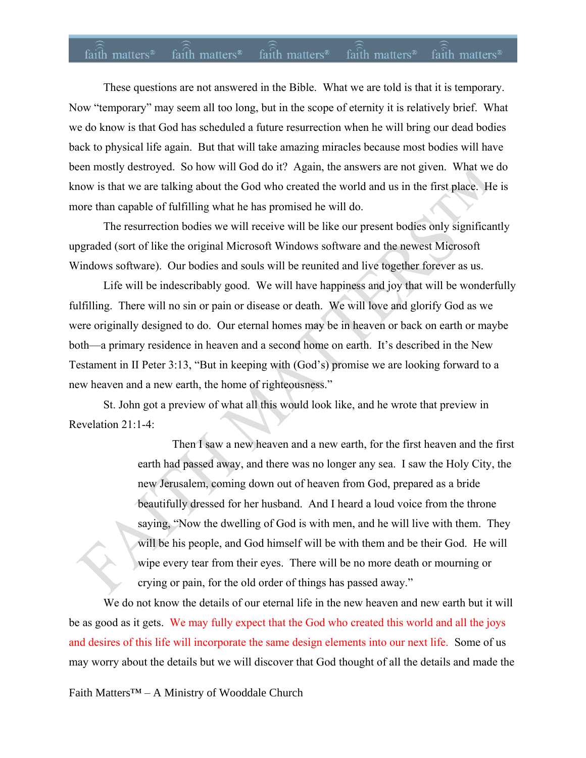# faith matters<sup>®</sup> faith matters<sup>®</sup> faith matters® faith matters® faith matters<sup>®</sup>

These questions are not answered in the Bible. What we are told is that it is temporary. Now "temporary" may seem all too long, but in the scope of eternity it is relatively brief. What we do know is that God has scheduled a future resurrection when he will bring our dead bodies back to physical life again. But that will take amazing miracles because most bodies will have been mostly destroyed. So how will God do it? Again, the answers are not given. What we do know is that we are talking about the God who created the world and us in the first place. He is more than capable of fulfilling what he has promised he will do.

The resurrection bodies we will receive will be like our present bodies only significantly upgraded (sort of like the original Microsoft Windows software and the newest Microsoft Windows software). Our bodies and souls will be reunited and live together forever as us.

Life will be indescribably good. We will have happiness and joy that will be wonderfully fulfilling. There will no sin or pain or disease or death. We will love and glorify God as we were originally designed to do. Our eternal homes may be in heaven or back on earth or maybe both—a primary residence in heaven and a second home on earth. It's described in the New Testament in II Peter 3:13, "But in keeping with (God's) promise we are looking forward to a new heaven and a new earth, the home of righteousness."

St. John got a preview of what all this would look like, and he wrote that preview in Revelation 21:1-4:

> Then I saw a new heaven and a new earth, for the first heaven and the first earth had passed away, and there was no longer any sea. I saw the Holy City, the new Jerusalem, coming down out of heaven from God, prepared as a bride beautifully dressed for her husband. And I heard a loud voice from the throne saying, "Now the dwelling of God is with men, and he will live with them. They will be his people, and God himself will be with them and be their God. He will wipe every tear from their eyes. There will be no more death or mourning or crying or pain, for the old order of things has passed away."

We do not know the details of our eternal life in the new heaven and new earth but it will be as good as it gets. We may fully expect that the God who created this world and all the joys and desires of this life will incorporate the same design elements into our next life. Some of us may worry about the details but we will discover that God thought of all the details and made the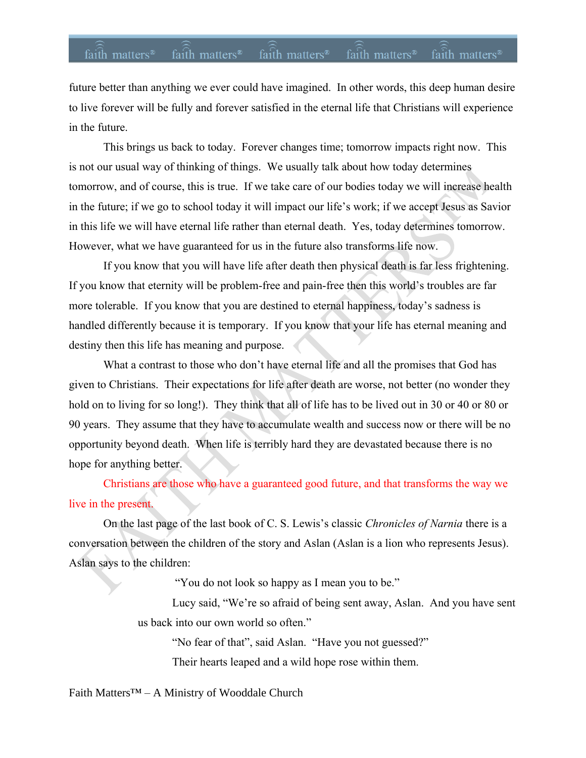future better than anything we ever could have imagined. In other words, this deep human desire to live forever will be fully and forever satisfied in the eternal life that Christians will experience in the future.

This brings us back to today. Forever changes time; tomorrow impacts right now. This is not our usual way of thinking of things. We usually talk about how today determines tomorrow, and of course, this is true. If we take care of our bodies today we will increase health in the future; if we go to school today it will impact our life's work; if we accept Jesus as Savior in this life we will have eternal life rather than eternal death. Yes, today determines tomorrow. However, what we have guaranteed for us in the future also transforms life now.

If you know that you will have life after death then physical death is far less frightening. If you know that eternity will be problem-free and pain-free then this world's troubles are far more tolerable. If you know that you are destined to eternal happiness, today's sadness is handled differently because it is temporary. If you know that your life has eternal meaning and destiny then this life has meaning and purpose.

What a contrast to those who don't have eternal life and all the promises that God has given to Christians. Their expectations for life after death are worse, not better (no wonder they hold on to living for so long!). They think that all of life has to be lived out in 30 or 40 or 80 or 90 years. They assume that they have to accumulate wealth and success now or there will be no opportunity beyond death. When life is terribly hard they are devastated because there is no hope for anything better.

Christians are those who have a guaranteed good future, and that transforms the way we live in the present.

On the last page of the last book of C. S. Lewis's classic *Chronicles of Narnia* there is a conversation between the children of the story and Aslan (Aslan is a lion who represents Jesus). Aslan says to the children:

"You do not look so happy as I mean you to be."

Lucy said, "We're so afraid of being sent away, Aslan. And you have sent us back into our own world so often."

"No fear of that", said Aslan. "Have you not guessed?"

Their hearts leaped and a wild hope rose within them.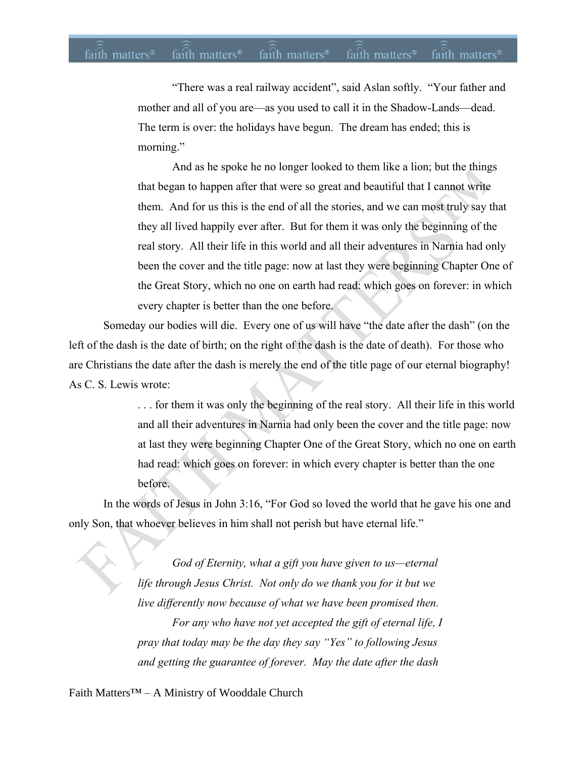#### faith matters<sup>®</sup> faith matters<sup>®</sup> faith matters<sup>®</sup> faith matters<sup>®</sup> faith matters<sup>®</sup>

"There was a real railway accident", said Aslan softly. "Your father and mother and all of you are—as you used to call it in the Shadow-Lands—dead. The term is over: the holidays have begun. The dream has ended; this is morning."

And as he spoke he no longer looked to them like a lion; but the things that began to happen after that were so great and beautiful that I cannot write them. And for us this is the end of all the stories, and we can most truly say that they all lived happily ever after. But for them it was only the beginning of the real story. All their life in this world and all their adventures in Narnia had only been the cover and the title page: now at last they were beginning Chapter One of the Great Story, which no one on earth had read: which goes on forever: in which every chapter is better than the one before.

Someday our bodies will die. Every one of us will have "the date after the dash" (on the left of the dash is the date of birth; on the right of the dash is the date of death). For those who are Christians the date after the dash is merely the end of the title page of our eternal biography! As C. S. Lewis wrote:

> . . . for them it was only the beginning of the real story. All their life in this world and all their adventures in Narnia had only been the cover and the title page: now at last they were beginning Chapter One of the Great Story, which no one on earth had read: which goes on forever: in which every chapter is better than the one before.

In the words of Jesus in John 3:16, "For God so loved the world that he gave his one and only Son, that whoever believes in him shall not perish but have eternal life."

> *God of Eternity, what a gift you have given to us—eternal life through Jesus Christ. Not only do we thank you for it but we live differently now because of what we have been promised then. For any who have not yet accepted the gift of eternal life, I pray that today may be the day they say "Yes" to following Jesus and getting the guarantee of forever. May the date after the dash*